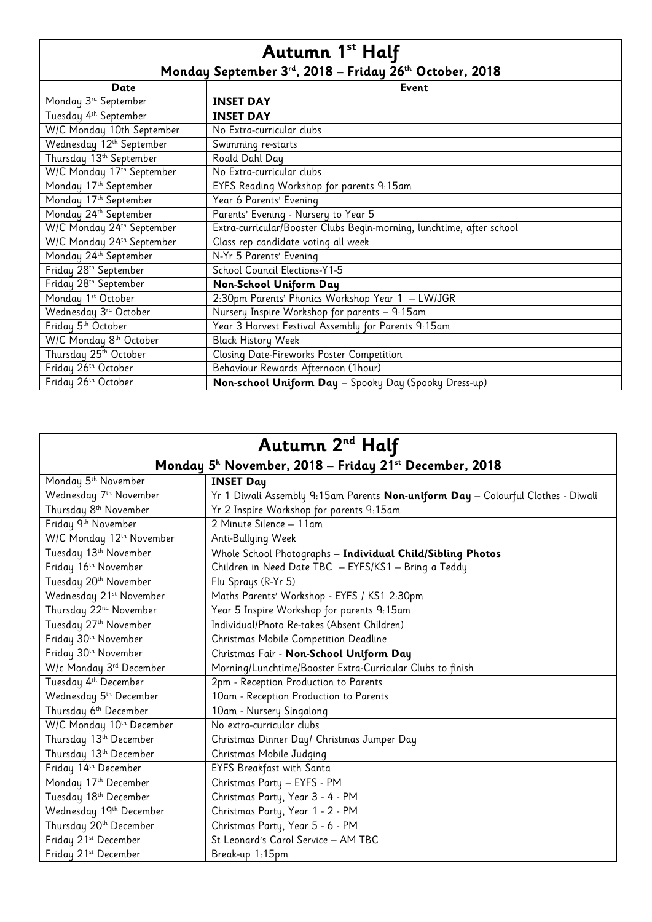## **Autumn 1st Half Monday September 3rd, 2018 – Friday 26th October, 2018**

|                                    | Monday September 5 °, 2010 – Friday 20° October, 2010                 |
|------------------------------------|-----------------------------------------------------------------------|
| Date                               | <b>Event</b>                                                          |
| Monday 3rd September               | <b>INSET DAY</b>                                                      |
| Tuesday 4 <sup>th</sup> September  | <b>INSET DAY</b>                                                      |
| W/C Monday 10th September          | No Extra-curricular clubs                                             |
| Wednesday 12th September           | Swimming re-starts                                                    |
| Thursday 13th September            | Roald Dahl Day                                                        |
| W/C Monday 17th September          | No Extra-curricular clubs                                             |
| Monday 17th September              | EYFS Reading Workshop for parents 9:15am                              |
| Monday 17th September              | Year 6 Parents' Evening                                               |
| Monday 24th September              | Parents' Evening - Nursery to Year 5                                  |
| W/C Monday 24th September          | Extra-curricular/Booster Clubs Begin-morning, lunchtime, after school |
| W/C Monday 24th September          | Class rep candidate voting all week                                   |
| Monday 24th September              | N-Yr 5 Parents' Evening                                               |
| Friday 28th September              | School Council Elections-Y1-5                                         |
| Friday 28th September              | Non-School Uniform Day                                                |
| Monday 1 <sup>st</sup> October     | 2:30pm Parents' Phonics Workshop Year 1 - LW/JGR                      |
| Wednesday 3rd October              | Nursery Inspire Workshop for parents - 9:15am                         |
| Friday 5th October                 | Year 3 Harvest Festival Assembly for Parents 9:15am                   |
| W/C Monday 8 <sup>th</sup> October | <b>Black History Week</b>                                             |
| Thursday 25 <sup>th</sup> October  | Closing Date-Fireworks Poster Competition                             |
| Friday 26 <sup>th</sup> October    | Behaviour Rewards Afternoon (1hour)                                   |
| Friday 26 <sup>th</sup> October    | Non-school Uniform Day - Spooky Day (Spooky Dress-up)                 |

| Autumn 2 <sup>nd</sup> Half                                       |                                                                                  |  |
|-------------------------------------------------------------------|----------------------------------------------------------------------------------|--|
| Monday 5 <sup>h</sup> November, 2018 – Friday 21st December, 2018 |                                                                                  |  |
| Monday 5 <sup>th</sup> November                                   | <b>INSET Day</b>                                                                 |  |
| Wednesday 7th November                                            | Yr 1 Diwali Assembly 9:15am Parents Non-uniform Day - Colourful Clothes - Diwali |  |
| Thursday 8 <sup>th</sup> November                                 | Yr 2 Inspire Workshop for parents 9:15am                                         |  |
| Friday 9th November                                               | 2 Minute Silence - 11am                                                          |  |
| W/C Monday 12 <sup>th</sup> November                              | Anti-Bullying Week                                                               |  |
| Tuesday 13th November                                             | Whole School Photographs - Individual Child/Sibling Photos                       |  |
| Friday 16 <sup>th</sup> November                                  | Children in Need Date TBC - EYFS/KS1 - Bring a Teddy                             |  |
| Tuesday 20th November                                             | Flu Sprays (R-Yr 5)                                                              |  |
| Wednesday 21 <sup>st</sup> November                               | Maths Parents' Workshop - EYFS / KS1 2:30pm                                      |  |
| Thursday 22 <sup>nd</sup> November                                | Year 5 Inspire Workshop for parents 9:15am                                       |  |
| Tuesday 27th November                                             | Individual/Photo Re-takes (Absent Children)                                      |  |
| Friday 30 <sup>th</sup> November                                  | Christmas Mobile Competition Deadline                                            |  |
| Friday 30th November                                              | Christmas Fair - Non-School Uniform Day                                          |  |
| W/c Monday 3rd December                                           | Morning/Lunchtime/Booster Extra-Curricular Clubs to finish                       |  |
| Tuesday 4th December                                              | 2pm - Reception Production to Parents                                            |  |
| Wednesday 5th December                                            | 10am - Reception Production to Parents                                           |  |
| Thursday 6th December                                             | 10am - Nursery Singalong                                                         |  |
| W/C Monday 10th December                                          | No extra-curricular clubs                                                        |  |
| Thursday 13th December                                            | Christmas Dinner Day/ Christmas Jumper Day                                       |  |
| Thursday 13th December                                            | Christmas Mobile Judging                                                         |  |
| Friday 14th December                                              | <b>EYFS Breakfast with Santa</b>                                                 |  |
| Monday 17th December                                              | Christmas Party - EYFS - PM                                                      |  |
| Tuesday 18th December                                             | Christmas Party, Year 3 - 4 - PM                                                 |  |
| Wednesday 19th December                                           | Christmas Party, Year 1 - 2 - PM                                                 |  |
| Thursday 20th December                                            | Christmas Party, Year 5 - 6 - PM                                                 |  |
| Friday 21st December                                              | St Leonard's Carol Service - AM TBC                                              |  |
| Friday 21st December                                              | Break-up 1:15pm                                                                  |  |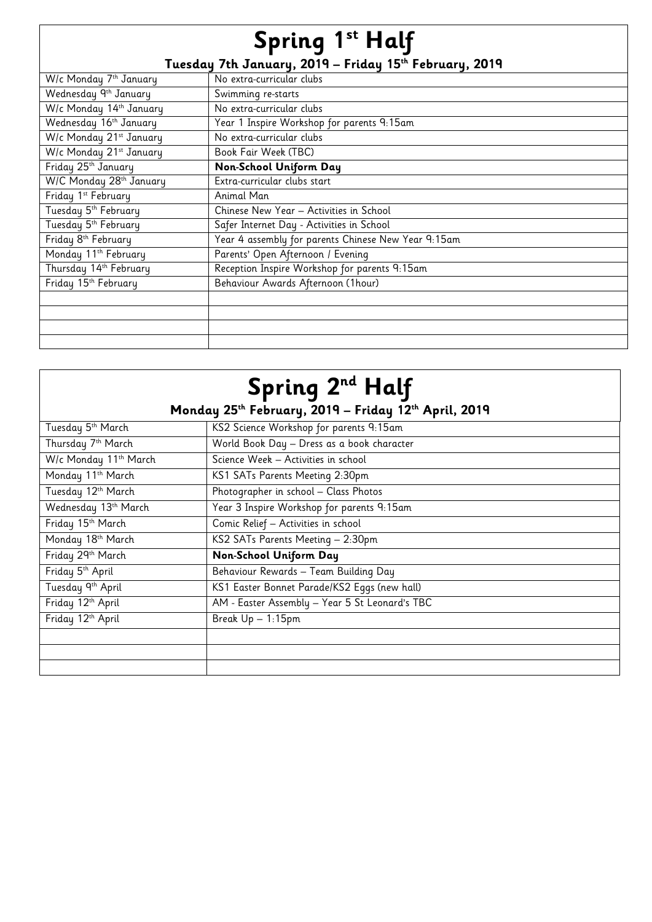## **Spring 1st Half Tuesday 7th January, 2019 – Friday 15th February, 2019**

| Tuesday 7th January, 2014 – Friday 15''' February, 2014 |                                                     |  |
|---------------------------------------------------------|-----------------------------------------------------|--|
| W/c Monday 7 <sup>th</sup> January                      | No extra-curricular clubs                           |  |
| Wednesday 9th January                                   | Swimming re-starts                                  |  |
| W/c Monday 14th January                                 | No extra-curricular clubs                           |  |
| Wednesday 16th January                                  | Year 1 Inspire Workshop for parents 9:15am          |  |
| W/c Monday 21st January                                 | No extra-curricular clubs                           |  |
| W/c Monday 21st January                                 | Book Fair Week (TBC)                                |  |
| Friday 25 <sup>th</sup> January                         | Non-School Uniform Day                              |  |
| W/C Monday 28 <sup>th</sup> January                     | Extra-curricular clubs start                        |  |
| Friday 1 <sup>st</sup> February                         | Animal Man                                          |  |
| Tuesday 5 <sup>th</sup> February                        | Chinese New Year - Activities in School             |  |
| Tuesday 5 <sup>th</sup> February                        | Safer Internet Day - Activities in School           |  |
| Friday 8 <sup>th</sup> February                         | Year 4 assembly for parents Chinese New Year 9:15am |  |
| Monday 11 <sup>th</sup> February                        | Parents' Open Afternoon / Evening                   |  |
| Thursday 14th February                                  | Reception Inspire Workshop for parents 9:15am       |  |
| Friday 15 <sup>th</sup> February                        | Behaviour Awards Afternoon (1hour)                  |  |
|                                                         |                                                     |  |
|                                                         |                                                     |  |
|                                                         |                                                     |  |
|                                                         |                                                     |  |

| Spring 2 <sup>nd</sup> Half                          |                                                |  |
|------------------------------------------------------|------------------------------------------------|--|
| Monday 25th February, 2019 - Friday 12th April, 2019 |                                                |  |
| Tuesday 5 <sup>th</sup> March                        | KS2 Science Workshop for parents 9:15am        |  |
| Thursday 7 <sup>th</sup> March                       | World Book Day - Dress as a book character     |  |
| W/c Monday 11 <sup>th</sup> March                    | Science Week - Activities in school            |  |
| Monday 11 <sup>th</sup> March                        | KS1 SATs Parents Meeting 2:30pm                |  |
| Tuesday 12th March                                   | Photographer in school - Class Photos          |  |
| Wednesday 13th March                                 | Year 3 Inspire Workshop for parents 9:15am     |  |
| Friday 15 <sup>th</sup> March                        | Comic Relief - Activities in school            |  |
| Monday 18 <sup>th</sup> March                        | KS2 SATs Parents Meeting - 2:30pm              |  |
| Friday 29th March                                    | Non-School Uniform Day                         |  |
| Friday 5 <sup>th</sup> April                         | Behaviour Rewards - Team Building Day          |  |
| Tuesday 9th April                                    | KS1 Easter Bonnet Parade/KS2 Eggs (new hall)   |  |
| Friday 12th April                                    | AM - Easter Assembly - Year 5 St Leonard's TBC |  |
| Friday 12 <sup>th</sup> April                        | Break Up - 1:15pm                              |  |
|                                                      |                                                |  |
|                                                      |                                                |  |
|                                                      |                                                |  |